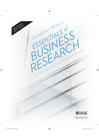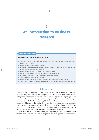# **1 An Introduction to Business Research**

◈

### **Learning Objectives**

### After reading this chapter, you should be able to:

- x know what research and business research are, and why they are important in both business and academia;
- understand the key concepts of research;
- be aware of the relationship between the key concepts of research as illustrated in the 'Honeycomb of Research Methodology';
- understand the rationale for using multi-strategy research;
- appreciate how business research is linked to the organization;
- be aware of the research skills required to undertake research;
- know the stages in the research process;
- understand the differences between academic and organizational research; and
- x know the role played by research project supervisors and the kind of support they provide.

# **Introduction**

Research is one of those words that you are likely to come across on an almost daily basis. You may have read in the newspaper that the latest market research study links passive smoking to an increased likelihood of lung cancer. Or perhaps a news headline makes reference to a groundbreaking piece of medical research into a possible cure for HIV/AIDS. To be sure, illustrations of various types of research are regularly publicized in the media. However, the information provided often only relates to research findings. What exactly is research? What distinguishes business research from other types of research? This chapter aims to answer these questions and sets out to provide a clear introduction to business research.

This chapter starts by clearly defining and explaining research, and more importantly business research. In order to emphasize the message that an understanding

◈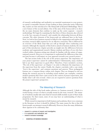of research, methodology and methods is an essential requirement to your project, we spend a reasonable amount of time looking at these particular terms. Following this, readers are first introduced to *The Honeycomb of Research Methodology*. This is a new feature of the second edition. One of the aims of the honeycomb is to show the six main elements that combine to make up the centre segment – research methodology. We begin by examining the first three of these elements, also referred to as the 'key concepts of research', and consider the relationship between all three concepts. The other elements of the honeycomb are addressed later in the book. Next, we look at how business research is linked to the organization and explore the necessary research skills required to be an effective researcher. This is followed by an overview of the likely steps that you will go through when conducting your research. Although the majority of this book is aimed at business students, the next part of this introductory chapter provides an insight into the differences between academic and organizational research. Mature students and those of you who have worked within a business setting may already be familiar with the nature of organizational research. However, it is important to understand the differences that exist, not least because it will impact on your approach towards your research project.

◈

The last section looks at the role of the project supervisor. The importance of your project supervisor cannot be underestimated. Unfortunately, many students fail to use their supervisor to good effect. Therefore, I have included a section, 'The role of the supervisor', in Chapter 1 in order to illustrate the importance of the supervisor from the outset. Finally, the chapter concludes with a case study, 'You're the supervisor', and common questions and answers. These pedagogical features are a common theme within each chapter. They are designed to aid you during the research process by including actual student case examples, common student questions that I have come across in the context of project supervision, and finally what I call 'role reversal', where you are required to answer questions from the project supervisor's perspective.

# **The Meaning of Research**

Although the title of this book makes reference to 'business research', I think it is worth having a review of what is actually meant by the term 'research'. The majority of students usually take some kind of research skills module as part of their study programme. For that reason, some of you may have an understanding of what is meant by research.

While research is important in both business and academia, there is no consensus in the literature on how it should be defined. The main reason for this is that different people can interpret research differently. However, from the many definitions there appears to be conformity that:

- research is a process of enquiry and investigation:
- it is systematic and methodical; and
- research increases knowledge.
- **2 ESSENTIALS OF BUSINESS RESEARCH**

♠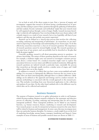Let us look at each of the above points in turn. First, a 'process of enquiry and investigation' suggests that research is all about having a predetermined set of questions, and then aiming to answer these questions through the gathering of information, and later analysis. Second, 'systematic and methodical' imply that your research must be well organized and go through a series of stages. Finally, 'research increases knowledge' is relatively self-explanatory. Your own knowledge about your chosen subject will certainly improve as a result of your research, but so too, hopefully, will that of your audience, and this may also include your project supervisor!

◈

*Research* can be defined as a 'step-by-step process that involves the collecting, recording, analyzing and interpreting of information'. As researchers, we are interested in improving our knowledge and understanding of our chosen topic. To do this effectively, researchers must have a clear set of research questions. The importance of research questions cannot be stressed highly enough. The research questions are the main focus of any project, and can probably best be described as '*the glue that holds the project together*'.

Generally speaking, research is all about generating answers to questions – to advance knowledge. The nature of these questions depends on the topic of research. For example, a marketer might carry out research to investigate consumer perceptions about a certain brand. Or a medical researcher might want to explore the association between recovery times and different medical treatments. Although the research questions are tailored towards a particular topic, essentially the process that researchers go through usually involves a similar series of stages, and I shall address these later on in this chapter.

In addition to research, it is likely that you have come across *methods* and *methodology*. It is necessary to distinguish the difference between the two terms as students often use them interchangeably, although there is a distinct difference. *Methodology* can be defined as 'the approach and strategy used to conduct research'. In general, methodology is concerned with the overall approach to the research process. This includes everything from your theoretical application to the collection and analysis of your data. On the other hand, *methods* refer to the different ways by which data can be collected and analyzed.

### **Business Research**

The purpose of business research is to gather information in order to aid businessrelated decision-making. *Business research* is defined as 'the systematic and objective process of collecting, recording, analyzing and interpreting data for aid in solving managerial problems'. These managerial problems can be linked to any business function, e.g. human resources, finance, marketing or research and development. Your research project can also be interpreted as business research in the sense that it will be related to business and management. In some cases, this may encompass more than one particular business discipline. For instance, a study might focus on the level of marketing knowledge among finance managers (marketing and finance). Some examples of areas of business and possible research issues are shown in Table 1.1.

### **AN INTRODUCTION TO BUSINESS RESEARCH 3**

♠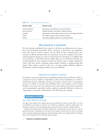| TABLE 1.1 | Examples of business research |  |  |
|-----------|-------------------------------|--|--|
|-----------|-------------------------------|--|--|

| <b>Business aspect</b> | <b>Research issues</b>                                                       |
|------------------------|------------------------------------------------------------------------------|
| Consumer behaviour     | Buying habits, brand preference, consumer attitudes                          |
| Human resources        | Employee attitudes, staff retention, material incentives                     |
| Promotion              | Media research, public relations studies, product recall through advertising |
| Product                | Test markets, concept studies, performance studies                           |
| Finance                | Forecasting, budgeting, efficiency of accounting software                    |

◈

# **Why Research is Important**

We have already established that research is all about providing answers to questions and developing knowledge. These questions in themselves are significant, hence the need to conduct research. You are likely to have conducted your own research to address questions that are important to you. For example, if the international students among you wish to return home for Christmas, it is unlikely that you would buy a ticket from the first airline that you see advertised. Instead, you would probably do some research to find out if there exists a cheaper alternative carrier. This may involve exploring various airline websites, or asking friends and family. Quite simply, research is the key to decision-making. Without sufficient information, decision-making is likely to be more difficult.

### Importance of research in business

In business, research is important in identifying opportunities and threats. Often, a company's success or failure is dependent on the actions undertaken as a result of conducting research. Although carrying out business research does not guarantee success, it is likely to increase the possibility that a new product, service, brand identity or even an event is successful. In some cases, the level of research conducted can be questionable, especially if public opinion is markedly different to that of an organization's viewpoint, as illustrated in the following case example.

### **RESEARCH IN ACTION**

#### The London Olympics 2012 logo

The logo of the London 2012 Olympic Games was unveiled to the world in June 2007. At a cost of £400,000, it was hailed as 'dynamic' and 'vibrant' by organizers, while its 'graffiti style' was designed to appeal to the younger generation and work across a variety of media platforms.

Designed by leading brand consultants Wolff Olins, the logo took the best part of a year to produce and bears a resemblance to the year 2012. However, shortly after its launch, the design came up against widespread disapproval, with one lewish person even ringing the BBC to complain that it was reminiscent of the infamous Nazi SS symbol.

### **4 ESSENTIALS OF BUSINESS RESEARCH**

♠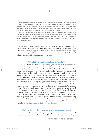Design guru Stephen Bayley condemned it as 'a puerile mess, an artistic flop and a commercial scandal'. An online petition to get the logo scrapped received thousands of signatures, while research conducted by Ipsos MORI, one of the UK's leading research companies, found a similarly negative response. For example, when questioned 'Do you approve or disapprove of the logo?' only 16% of respondents commented that they approved of the logo.

◈

Although the London Organising Committee of the Olympic and Paralympic Games (LOCOG) stressed that the logo was paid for by private money, Mr Bayley voiced his astonishment that the emblem – available in blue, pink, green and orange – had cost £400,000. 'That's outrageous,' he said. 'There are 5,000 talented designers who could have done the job for £10,000.' (Carlin, 2007; Ipsos MORI, 2007)

In the case of the London Olympics 2012 logo, it can be questioned as to whether LOCOG carried out sufficient research prior to choosing the new logo. Later media coverage suggests that many people eventually warmed to the design, thus il lustrating that business research may only provide a snapshot of people's opinion, and that attitudes can change over time.

### Why studying research methods is important

The London Olympics 2012 logo example highlights why research is important in a commercial setting. However, as mentioned in the introduction, it is also an important part of your course. Your research project is probably the culmination of three to four years of hard study. Yet, for those students who participate in a research skills module as part of their study programme, in some cases the module is perceived as not being essential, or even relevant. There are perhaps two reasons for this. First, it is often embedded within a course and sits alongside modules that are relevant to your chosen subject. For example, if you are studying a finance degree, you will probably take modules in auditing, management accounting, corporate finance, etc. Yet a first glance at your study timetable may raise the question 'What is this module?', or perhaps 'I'm here to study for a degree in finance, not research skills!' A common problem facing us poor lecturers is to try to get across the message that research skills *is* relevant to your course, provides a wide range of transferable skills and, above all, serves to provide the necessary skills in order to successfully complete your research project. Second, when taking a research skills module, students usually have a wide range of questions from the outset. In general, if these questions are addressed early, it can certainly help to alleviate some of the apprehension regarding the subject. Examples of some of the more common questions students tend to ask towards the beginning of learning research skills is shown in Table 1.2.

### What are the long-term benefits of studying research skills?

As mentioned, in the short term, the primary importance of studying research skills is so that you are aware of what is required in order to satisfactorily complete your

**AN INTRODUCTION TO BUSINESS RESEARCH 5**

♠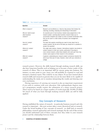#### **TABLE 1.2** Your research questions answered

| Question                                              | Answer                                                                                                                                                                                                                                                                                            |
|-------------------------------------------------------|---------------------------------------------------------------------------------------------------------------------------------------------------------------------------------------------------------------------------------------------------------------------------------------------------|
| What is research?                                     | Research can be defined as a 'step-by-step process that involves the<br>collecting, recording, analyzing and interpreting of information.                                                                                                                                                         |
| Why do I need to learn<br>about business<br>research? | An essential part of most business-related study programmes is the<br>research project. Learning about business research helps you to<br>successfully complete your project as well as provide transferable skills<br>that can be used in a wide variety of business and management<br>positions. |
| How do I conduct<br>research?                         | This book fully explains everything you need to know about how to<br>conduct research. By the end of the book you should be in a position to<br>answer this question!                                                                                                                             |
| Where do I conduct<br>research?                       | This might seem obvious. However, international students may decide to<br>conduct research in their own country, particularly if focusing on<br>cross-cultural research, while those students who work part-time may<br>conduct some aspects of their research in the workplace.                  |
| When do I conduct<br>research?                        | In general, undertaking your research project commences towards the<br>end of your final year of study. However, check with your university or<br>college.                                                                                                                                        |

◈

research project. However, the skills learned through studying research skills can also have long-term benefits, such as helping you to become a better reader of the research of others. This is an important skill for anyone going into business. For instance, at some point in your career you will probably be required to read and interpret a business report. This could be on any subject. If you have learned about research skills and research in general, then you are far more likely to be capable of understanding the study, not to mention interpreting the results and drawing your own conclusions.

Having experience of carrying out research is also an important requirement if you wish to continue with your education. Like undergraduate degrees, master's programmes usually require the submission of a major research project. These tend to be based on a larger number of words (typically 20,000–25,000). Yet much of what you learn through studying research skills can still be fully applied.

# **Key Concepts of Research**

Having established the nature of research – in particular business research and why research is important – this next section takes a more theoretical look at research. Under the broad heading of 'key concepts of research', we shall look at research philosophies, research approaches and research strategies. By the end of this section you should understand each of these concepts, how they relate to your research project and the relationship between them.

### **6 ESSENTIALS OF BUSINESS RESEARCH**

◈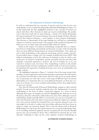### The Honeycomb of Research Methodology

◈

In order to understand the key concepts of research and how they fit into your methodology, we now consider the *Honeycomb of Research Methodology* (see Figure 1.1). In this honeycomb, the three highlighted elements or key concepts of research are joined with three other elements to make up research methodology. Put another way, in the honeycomb, the six main elements – namely: (1) research philosophy; (2) research approach; (3) research strategy; (4) research design; (5) data collection and (6) data analysis techniques – come together to form research methodology. This structure is characteristic of the main headings you will find in a methodology chapter in a business research project. The purpose of the numbered segments is to help you to see at which stage each element falls within the chapter.

Earlier in the chapter we looked at methodology, noting that there is a distinction between methodology and methods. At this point, it is also worth stressing that there are many different interpretations of 'research methodology'. Once again, my view is that methodology is 'the approach and strategy used to conduct research'. Several authors share a similar view. For example, Somekh and Lewin (2005: 346) defined methodology as both 'the collection of methods or rules by which a particular piece of research is undertaken' and the 'principles, theories and values that underpin a particular approach to research'. By way of example, let us say you wanted to construct your own house. Your methodology would not only include your proposed plan, but also consideration would be made as to the type of materials, timeframe, the approach to building the house, your views on sustainability and quality controls.

The highlighted segments in Figure 1.1 include a list of the main research philosophies, research approaches and research strategies, respectively. We will examine the contents of each list later in this section. However, they are by no means exhaustive. In particular, you will come across a wide range of different types of research philosophies. It is important that you read additional literature on these key concepts as it will give you a more in-depth understanding of how they might feature in your own research.

How does the Honeycomb of Research Methodology compare to other research models? Several research methods textbooks show the fundamentals of research methodology in the form of either a linear-type diagram, or a series of layers. Although these types of examples are ideal for highlighting the elements set out in the honeycomb, they often fail to address three key issues. First, although a research methodology chapter typically follows a set structure, you may not necessarily consider each element in the order that it is structured within the chapter. For example, once your research strategy has emerged from your research approach, your next step might be to decide to conduct interviews (data collection) and then choose to analyze a single case (research design). This is why the Honeycomb of Research Methodology not only shows the typical structure of a research methodology chapter by including numbered segments, but also recognizes the fact that the thought process may not necessarily be linear. This is illustrated by showing the six outer elements combining to make up the centre segment, research methodology, as

### **AN INTRODUCTION TO BUSINESS RESEARCH 7**

♠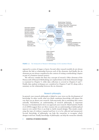

◈

**FIGURE 1.1** The Honeycomb of Research Methodology (©2013 Jonathan Wilson)

opposed to a series of stages or layers. Second, other research models do not always indicate the link or relationship between each of the elements. And finally, the six elements are not always considered in the context of writing a methodology chapter as part of a business research project.

We will now consider the three key concepts of research. Other elements of the Honeycomb of Research Methodology are explored later in the book. Research design is examined in Chapter 5, while data collection is covered in Chapters 6 and 7. Finally, data analysis techniques are considered in Chapters 9 and 10, along with a summary on the relationship between the six elements.

### Research philosophy

In general, your research philosophy is linked to your views on the development of knowledge. In other words, what you think constitutes knowledge will impact the way that you go about your research. Subconsciously, this is something that comes naturally. Nonetheless, an understanding of research philosophy is important because it is fundamental to how you approach your research. Mark Easterby-Smith et al. (2002) suggest there are three reasons why an understanding of philosophical issues is very useful. First, it can help to clarify *research designs*. This entails considering the type of evidence required and how it is to be collected and interpreted. Second, knowledge of philosophy can help the researcher to recognize which designs work best. Finally, knowledge of philosophy can help the researcher identify

### **8 ESSENTIALS OF BUSINESS RESEARCH**

◈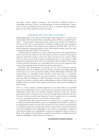and adapt research designs according to the constraints of different subject or knowledge structures. In short, an understanding of research philosophy is important as it gets you thinking about your own role as a researcher. Research philosophies are now fully explained in the next section.

◈

#### Epistemology (what is the nature of knowledge?)

*Epistemology* refers to the nature of knowledge, which means how we conceive our surroundings. The key question that epistemology asks is 'What is acceptable knowledge?' – 'A particularly central issue in this context is the question of whether or not the social world can and should be studied according to the same principles, procedures and ethos as the natural sciences' (Bryman and Bell, 2007: 16). If you intend adopting an approach similar to that of the natural scientist, then your epistemological approach is likely to be positivist.

*Positivism* takes an *objective* view when conducting research and is detached from those involved in the study. On the other hand, you may be critical of the positivist approach and prefer to take an active role when carrying out your research. If that is the case, then you are likely to adopt an *interpretivist* view to your research. Unlike positivists, interpretivists often look at one particular subject in-depth. The purpose of their research is therefore not to generalize, but to be actively engaged in their research through high levels of interaction and/or participation.

Positivism and interpretivism are perhaps the two most well-known research philosophies. Each one is different in terms of what constitutes knowledge, although certain aspects can come under the heading of both philosophies. Positivism and interpretivism are essentially related concepts in the sense that as a researcher, whichever approach you choose, you need to produce a convincing set of findings and argue that your findings are valid. Treating the concepts as related is of benefit because it can help to promote mixed methodologies in order to help validate your findings. The next section of this chapter examines the main research paradigms in greater detail.

Positivism If you assume a *positivist approach* to your study, then it is your belief that you are independent of your research and your research can be truly objective. Independent means that you maintain minimal interaction with your research participants when carrying out your research. Through being detached in this way, the hope is that you can be truly objective. To put it another way, as a researcher your own personal biases have no part in the research effort.

Positivists believe that research needs to be carried out in a scientific nature. It is empirical research that follows a strict set of guidelines and should be carried out by appropriately trained scientists. The carrying out of this research is usually based on a deductive approach, moving from theory to observation. In general, positivists want their findings to have applicability to the whole of a population. Analysis of observations is likely to be quantifiable as opposed to qualitative. Moreover, there is likely to be a high level of reliability to positivist research due to a highly structured approach. Reliability is fully discussed in Chapter 5.

**AN INTRODUCTION TO BUSINESS RESEARCH 9**

♠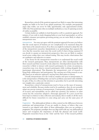Researchers critical of the positivist approach are likely to argue that interesting insights are liable to be lost if one adopts positivism. For example, *post-positivists* argue that reality can never be fully apprehended, only approximated (Guba, 1990: 22). Post-positivism relies on multiple methods as a way of capturing as much of reality as possible.

◈

Certain studies are unlikely to lend themselves well to a positivist approach. For instance, if you wish to study shopping habits at your local supermarket, as well as establish consumer perceptions governing pricing, you are more likely to adopt an interpretivist view.

Interpretivism You may not agree with the positivist approach because you believe that the social aspects of business are too complicated to be measured along the same basis as the natural sciences. If so, then you might be inclined to adopt the role of the interpretivist researcher. *Interpretivism* is an epistemology that supports the view that the researcher must enter the social world of what is being examined. If you decide to assume an interpretivist perspective, then you are likely to analyze social actors within their own cultural setting. This may involve observations that are qualitative and subjective in nature.

A key factor for the interpretivist researcher is to understand the social world of the research participants. Thus, interpretivists are often interdependent with their research and their research is truly subjective. Interdependent means that the researcher is likely to interact with research participants. In certain circumstances, researchers may even observe research participants while working alongside them (participant observation). This illustrates the interpretivist's view of research as being both collaborative and participatory. The carrying out of this research is usually based on an inductive approach, moving from observation to theory.

Overall, interpretivists view the world as complex and open to interpretation. It is the interpretation of findings that can lead to problems associated with reliability. In spite of this, it is often not the intention to generalize, but to provide interesting new insights into a particular context.

Researchers critical of interpretivism tend to focus on the issue of measurement and reliability. Because studies tend to be qualitative, they do not normally adopt any precise systems of measurement. Consequently, reliability in the sense of accuracy and repeatability can be called into question. For instance, to what extent has the researcher adopted a thorough approach? If a poor record has been kept in relation to data collection and analysis, then it makes it all the more difficult for future researchers to come along and carry out the same piece of work.

Pragmatism The philosophical debate is often centred on the differences between positivism and interpretivism. If you are unable to choose, or believe that your research is not aligned with either of these philosophies, then you are perhaps a *pragmatist*. The pragmatic paradigm does not align itself with any one philosophical stance and recognizes the importance of both the physical and social world. Pragmatist researchers focus on the 'what' and the 'how' of the research problem

### **10 ESSENTIALS OF BUSINESS RESEARCH**

♠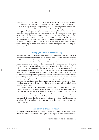(Creswell, 2003: 11). Pragmatism is generally viewed as the most popular paradigm for mixed methods social enquiry (Greene, 2007), although mixed methods could be used with any paradigm. Pragmatists place the research problem and research questions at the centre of the research and use the methods they consider to be the most appropriate in generating the most significant insights into their research. For example, if you are interested in researching how small companies in your region are coping with the current economic downturn, you may believe that the 'best way' to tackle this research question is to interview the owners of the companies and administer a questionnaire survey to employees. In short, this example can be described as taking a pragmatic stance. The focus is clearly on the research problem, while employing methods considered the most appropriate in answering the research question.

◈

### Ontology (the way we think the world is)

While epistemology is concerned with 'What is acceptable knowledge?', *ontology* is concerned with the nature of reality. In essence, it asks how we perceive the social world, or to put it another way, the way we think the world is. You need to decide whether you consider the world is external to social actors, or the perceptions and actions of social actors create social phenomena. If you consider the latter ontological stance, then you will adopt the subjectivist view. Subjectivism is clearly linked to interpretivism in that the researcher examines the motivation and social interactions of respondents. As a researcher you need to understand the subjective beliefs and attitudes motivating respondents to act in a particular way. For example, if you decide to analyze management perceptions towards their business networks, you are likely to record a wide range of feedback based on each person's own experience and perceptions. In effect, what you are doing is analyzing business networks based on everyday interaction that management experience. Business networks are therefore viewed by analyzing the subjective experiences of individual actors, namely, management.

Conversely, you may take an external view of the world, associated with objectivism. Objectivism is an ontological stance that implies that social phenomena are based on external realities that are beyond our reach or control. Citing the earlier 'business networks' example, rather than involving social actors directly in the research, objectivism would deal with business networks as being external to social actors. Analysis would then be on treating business networks as tangible objects that are clearly defined and external to the everyday changing interactions involving individual actors.

### Axiology (role of values in inquiry)

*Axiology* is concerned with the nature of value. Although this includes notable ethical issues that we will cover in Chapter 4, axiology is essentially concerned with

**AN INTRODUCTION TO BUSINESS RESEARCH 11**

♠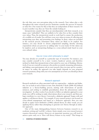the role that your own perception plays in the research. Your values play a role throughout the entire research process. Positivists consider the process of research as value free. One reason for this is that they are independent of their research. Or to put it another way, they are 'from the outside looking in'.

◈

Interpretivists consider that they are interdependent with their research, or in many cases 'embedded'. They are unlikely to be value free as they consider their own values. Thus, the interpretivist needs to work hard to ensure the production of a credible set of results. You will have your own values in terms of collecting and interpreting your data, and presenting your findings. In short, values are included in the research process. Sometimes these values are likely to be explicit. For instance, you may decide to choose judgemental sampling, thereby choosing respondents whom you perceive as 'adding value' to your study. Or the values can be implicit, such as interpreting findings in a cross-cultural study based on your own cultural values.

### How do I know which philosophy to adopt?

You may already see yourself as a particular type of researcher. For instance, you may consider yourself to be a more 'creative, hands-on' person, and therefore inclined to think that interpretivism is best suited to your way of thinking. Alternatively, if you see yourself as someone who prefers accurately measuring information, and taking a non-participatory role in your research, then you may opt for a positivist stance. In reality, the approach you take largely depends on your proposed research questions, along with your own assumptions as to how you should go about your research.

### Research approach

Research methods are often associated with two approaches – *inductive* and *deductive*. Let us look at each of these in turn. First, Kenneth F. Hyde (2000: 83) defined *inductive* as 'a theory-building process, starting with observations of specific instances, and seeking to establish generalisation about the phenomenon under investigation'. In other words, if you decide to follow an *inductive approach* to your study, you will be seeking to make observations about your research, and then perhaps contribute to a new theory. Conversely, a *deductive approach* 'begins with and applies a well-known theory'. For example, if your research project was focused on cross-cultural management and based on a deductive approach, then you may decide to apply Geert Hofstede's (1980) cultural theory. In other words, you are applying theory rather than attempting to generate new theory through an inductive approach.

One of the main distinguishing features between business research in an academic setting and 'real life' is *theory*. Quite simply, your own research project requires theoretical content. However, an important question you will need to answer quite early on is: 'How will theory feature in my study?' This brings us

### **12 ESSENTIALS OF BUSINESS RESEARCH**

♠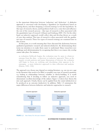to the important distinction between 'induction' and 'deduction'. A *deductive approach* is concerned with developing a *hypothesis* (or hypotheses) based on existing theory, and then designing a research strategy to test the hypothesis. 'In this type of research, theory, and hypotheses built on it, come first and influence the rest of the research process – this type of research is often associated with the *quantitative* type of research' (Ghauri and Grøhaug, 2005: 15). On the other hand, an inductive approach would collect data and develop theory as a result of your data analysis. This type of research is often associated with the *qualitative* type of research. These two types of research strategy are examined later in this section.

◈

At this point, it is worth stressing that I have discussed the dichotomy between qualitative/quantitative research and inductive/deductive. By dichotomizing these terms my intention is to make them easier to understand. Many researchers now challenge such dichotomization by recognizing that there is no reason why overlap cannot take place. For instance,

as evaluation fieldwork begins, the evaluation may be open to whatever emerges from the data – a discovery or inductive approach. Then, as the inquiry reveals patterns and major dimensions of interest, the evaluator will begin to focus on verifying and elucidating what appears to be emerging – a more deductive approach to data collection and analysis. (Patton, 1991: 194)

The approach you choose may depend on existing literature, e.g. can you see a gap in the literature that needs to be filled, or possibly your type of research questions, e.g. looking at relationships between variables or theory-building. It is worth remembering that if deciding to follow an inductive approach, you need to demonstrate excellent knowledge of the subject. Figure 1.2 shows how theory fits into each approach. Clearly, theory can be applied from the outset (deductive) or be produced as an outcome (inductive). In addition, Table 1.3 summarizes the major differences between deductive and inductive approaches to research.



**FIGURE 1.2** How theory fits into your research



♠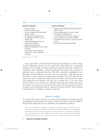| <b>Deduction emphasizes</b>                                                                                                                                                                                                                                                                                                                                                                                                                                                                                                                                                                     | Induction emphasizes                                                                                                                                                                                                                                                                                                                                                                                                 |
|-------------------------------------------------------------------------------------------------------------------------------------------------------------------------------------------------------------------------------------------------------------------------------------------------------------------------------------------------------------------------------------------------------------------------------------------------------------------------------------------------------------------------------------------------------------------------------------------------|----------------------------------------------------------------------------------------------------------------------------------------------------------------------------------------------------------------------------------------------------------------------------------------------------------------------------------------------------------------------------------------------------------------------|
| Scientific principles<br>۰<br>Moving from theory to data<br>۰<br>The need to explain causal relationships<br>$\bullet$<br>hetween variables<br>The collection of quantitative data<br>$\bullet$<br>The application of controls to ensure<br>$\bullet$<br>validity of data<br>The operationalization of concepts to<br>$\bullet$<br>ensure clarity of definition<br>A highly structured approach<br>$\bullet$<br>Researcher independence of what is being<br>$\bullet$<br>researched<br>The necessity to select samples of<br>$\bullet$<br>sufficient size in order to generalize<br>conclusions | Gaining an understanding of the meanings humans<br>٠<br>attach to events<br>A close understanding of the research context<br>۰<br>The collection of qualitative data<br>۰<br>A more flexible structure to permit changes of<br>۰<br>research emphasis as the research progresses<br>A realization that the research is part of the research<br>۰<br>process<br>Less concern with the need to generalize<br>$\bullet$ |

|  | <b>TABLE 1.3</b> Major differences between deductive and inductive approaches to research |  |  |  |  |  |
|--|-------------------------------------------------------------------------------------------|--|--|--|--|--|
|--|-------------------------------------------------------------------------------------------|--|--|--|--|--|

◈

Source: Saunders et al. (2007)

Once again, Table 1.3 dichotomizes deductive and inductive in order to show you the distinction between the two approaches. This distinction is somewhat ambiguous. For example, an inductive approach could also involve the collection of quantitative data. Similarly, a deductive approach may involve the collection of qualitative data, e.g. through interviews. The table is intended to highlight the traditionally perceived differences between the two approaches. Still, this does not mean that a certain amount of overlap cannot take place. Then why make the distinction? In essence, making the distinction between theory and research by considering deduction and induction can help you to decide how to go about your research. Moreover, it can help you to identify which approach existing researchers are taking in your chosen area of research. For instance, if the majority of researchers appear to be adopting an inductive approach, you may decide to 'add something to the literature' by adopting a deductive approach.

### Research strategy

Two terms often used to describe the main research strategies to business research are *qualitative* and *quantitative*. Norman K. Denzin and Yvonna S. Lincoln (2000: 8) described the distinction between *qualitative* and *quantitative* as follows:

the word 'qualitative' implies an emphasis on the qualities of entities and on processes and meanings that are not experimentally examined or measured (if measured at all) in terms of quantity, amount, intensity or frequency. *Qualitative researchers* stress the socially constructed nature of reality, the intimate relationship between the research and what is studied, and the situational

### **14 ESSENTIALS OF BUSINESS RESEARCH**

♠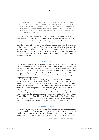constraints that shape inquiry. Such researchers emphasize the value-laden nature of inquiry. They seek answers to questions that stress how social experience is created and given meaning. In contrast, *quantitative studies* emphasize the measurement and analysis of causal relationships between variables, not processes. Proponents of such studies claim that their work is undertaken from within a value-free framework.

◈

In all likelihood, these are terms that you may have come across before. In short, the main difference is that quantitative research is usually associated with numerical analysis, while qualitative is not. Nevertheless, comparing the two strategies on the basis of analysis is rather simplistic. A number of other key differences also exist. For example, a quantitative strategy is viewed as objective and involves data collection methods such as questionnaires. Yet a qualitative approach is viewed as subjective and involves data collection methods such as interviews. Increasingly, researchers are using mixed methods that offer the advantage of overcoming single-method studies. The next section in this chapter takes a closer look at qualitative and quantitative research.

### Qualitative research

Once again, quantitative research examines data that are numerical, while qualitative inquiry examines data that are narrative. *Qualitative research* shares good company with the most rigorous quantitative research, and it should not be viewed as an easy substitute for a 'statistical' or quantitative study (Creswell, 1998). A qualitative strategy is usually linked with an inductive study. As we have already established in this chapter, an inductive theory means that theory is likely to be an outcome, rather than applied from the outset.

Combining qualitative research and inductive theory are common as they are well suited to providing insights that allow for the generation of theoretical frameworks. For example, you might be interested in studying the impact that Chinese cultural values have on Sino-European joint venture performance. If no theoretical framework exists in this particular area, then one option would be to undertake an inductive approach. In the first instance, this may involve identifying cultural values and establishing how these will be measured. Next, interviews might take place with Chinese and European managers involved in the running of the joint venture. This would then be followed by an analysis of your findings. Lastly, depending on your results, you may then propose a theoretical framework that illustrates the relationship between the cultural values and joint venture performance.

### Quantitative research

'A *quantitative approach* to research might draw a large and representative sample from the population of interest, measure the behaviour and characteristics of that sample, and attempt to construct generalizations regarding the population as a whole' (Hyde, 2000: 84). Unlike qualitative research, quantitative research is often

**AN INTRODUCTION TO BUSINESS RESEARCH 15**

♠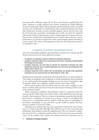associated with a deductive approach. In other words, theory is applied from the outset. Analysis is usually statistical and involves analyzing the results following theoretical application. Rather than generating a theoretical framework as a possible outcome, you would apply an existing theory that would help interpret your findings. Furthermore, because you have probably applied a theory that has been used by several previous researchers, interestingly your results can often be compared with current studies. Using the joint venture example again, let us assume that now that you have analyzed the relationship between cultural values and joint venture performance, you are keen to know how many years managers intend remaining in a joint venture. The nature of this question is objective and will generate numeric or quantitative data.

◈

### A comparison of qualitative and quantitative research

One way of describing qualitative and quantitative research is to compare the differences between the two. These differences include:

- the rejection of quantitative, positivist methods by qualitative researchers;
- qualitative researchers believe they can get closer to the actors' perspective through detailed interviewing and observation;
- qualitative researchers are more likely to confront the constraints of everyday life, while quantitative researchers tend to abstract themselves from this world and consequently they seldom study it directly; and
- x qualitative researchers tend to believe that rich descriptions are valuable while quantitative researchers are less concerned with such detail (Näslund, 2002: 328).

Qualitative and quantitative methods do not necessarily have to be used exclusively. 'One might use qualitative data to illustrate or clarify quantitatively derived findings, or one could quantify demographic findings, or use some form of quantitative data to partially validate one's qualitative analysis' (Strauss and Corbin, 1990).

Most research projects and researchers, however, place their emphasis on one form or another, partly out of conviction, but also because of training and the nature of the problems studied.

When comparing a qualitative and quantitative study, in a qualitative study, the research question often starts with a *how* or *what* so that initial forays into the topic describe what is going on. This is in contrast to quantitative questions that ask *why* and look for a comparison of groups (e.g. is Group 1 better at something than Group 2?) or a relationship between variables, with the intent of establishing an association, relationship, or cause and effect, e.g. did variable X explain what happened in variable Y? (Creswell, 1998).

Although some students shy away from quantitative research for fear of statistics, it is worth noting that although data collection can be time-consuming and problematic, data analysis is relatively straightforward. This is in contrast to qualitative research where conducting a small number of interviews may seem uncomplicated, yet the analysis, often typing and analyzing interview transcripts, can be

### **16 ESSENTIALS OF BUSINESS RESEARCH**

♠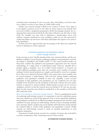extremely time-consuming. To give you some idea, transcribing a one-hour interview is likely to involve in the region of 5,000–6,000 words!

◈

Finally, your research strategy is likely to be a matter of choice. Once again, it is not simply a question of one or the other. In many respects your strategy does not need to follow a qualitative/quantitative divide. Increasingly, students are recognizing that using mixed methods for their data collection can add value to their study. For example, you may wish to administer a questionnaire survey that explores customer satisfaction in your workplace, while you are also interested in conducting follow-up interviews with those individuals who appear to be particularly dissatisfied.

In short, do not be 'pigeon-holed' into one strategy or the other, but consider the merits of adopting an eclectic approach.

### Combining qualitative and quantitative research (multi-strategy research)

In the previous section I briefly introduced the term 'mixed methods' and the possibilities available to researchers for combining qualitative and quantitative research. According to Tashakkori and Teddlie (1998: 17–18), mixed method studies are those that 'combine the qualitative and quantitative approaches into the research methodology of a single study or multi-phased study.' However, arguably this is perhaps taking a simplistic view of so-called 'mixed methods', as research can involve different paradigms, more than one researcher and a number of research methods. In brief, mixed methods are complex and should be viewed at a strategic level. This view is shared by Bryman (2001), who argues that a more suitable term for 'mixed methods' is 'multi-strategy'. This is because 'mixing' implies combining qualitative and quantitative methods in some way. Arguably, a more accurate description is that qualitative and quantitative are not combined, but you have multiple levels. Therefore, for the remainder of this book I will use the term 'multistrategy' as opposed to 'mixed methods'. Multi-strategy research can be viewed as 'pragmatic research' in that the research does not attempt to 'fit' into any one paradigm, but the researcher uses whichever methods he or she considers work best for their particular study.

What is the rationale for using multi-strategy research? Prior to considering the merits of conducting multi-strategy research, it is important to note the underlying reasons why some scholars are critical of this approach. First, it can be argued that qualitative and quantitative methods rest on different paradigm assumptions and cannot be easily combined. Second, carrying out multi-strategy research is time-consuming and likely to be expensive. Third, a student may not be familiar with both forms of data and lack the required skills to conduct both qualitative and quantitative research. Finally, carrying out multi-strategy research is rarely an essential requirement at most academic institutions.

Proponents of multi-strategy research cite a number of reasons why it should be a serious consideration when conducting research. These include:

### **AN INTRODUCTION TO BUSINESS RESEARCH 17**

♠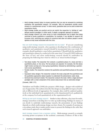x Multi-strategy research helps to answer questions that can only be answered by combining qualitative and quantitative research. For example, 'Why do respondents provide certain answers in a questionnaire survey?' In other words, qualitative data can be used to determine quantitative results.

◈

- Multi-strategy studies are practical and do not restrict the researcher to 'sticking to' welldefined research paradigms. In other words, it adopts a pragmatic approach to research.
- Multi-strategy research can come across as more comprehensive and in-depth than being restricted to purely qualitative or quantitative. For example, if you decided to research the Eurozone crisis, restricting your analysis to numerical data does not address people's overall opinions on key issues associated with the crisis.

How can multi-strategy research be incorporated into my study? If you are considering using multi-strategy research, a key question is deciding how the combination of qualitative and quantitative research should be incorporated into your study. For example, should qualitative come before quantitative? Should both the qualitative and quantitative phases be conducted at the same time? Creswell (1995) addresses the issue of how and when multi-strategy research should be undertaken by proposing the following four what he refers to as 'mixed method designs':

- Two-phase studies: The researcher first conducts a qualitative phase of a study and then a quantitative phase, or vice versa. The two phases are separate. For example, the first phase might involve carrying out a focus group (qualitative), followed by administering a questionnaire survey (quantitative).
- Parallel studies: The researcher conducts the qualitative and quantitative phases at the same time.
- x Equivalent status designs: The researcher conducts the study using both the quantitative and the qualitative approaches (about equally) to understand the phenomenon under study.
- Dominant/less dominant studies: The researcher conducts the study 'within a single dominant paradigm with a small component of the overall study drawn from an alternative design'

(Creswell, 1995: 177).

Tashakkori and Teddlie (1998) also propose a fifth design – designs with multilevel use of approaches. The authors describe this design as using different types of methods at different levels of aggregation. For example, data could be analyzed qualitatively at the individual level, quantitatively at the departmental level, qualitatively at the company level and quantitatively at the organizational level.

Writing up and multi-strategy research Similar to data collection, a key issue for multistrategy researchers is deciding how to write up multi-strategy findings. In essence, if you decide to undertake multi-strategy research, the presentation of your findings depends on which multi-strategy design you have chosen. For example, if carrying out a two-phase study, then it makes perfect sense to present the findings in the order that each research approach was undertaken.

Multi-strategy research from a business setting Multi-strategy research is certainly receiving greater acceptance in the academic community. Evidence of this is that

### **18 ESSENTIALS OF BUSINESS RESEARCH**

♠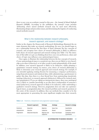there is now even an academic journal in this area – the *Journal of Mixed Methods Research* (JMMR). According to the publishers, the journal's scope includes 'delineating where mixed methods research may be used most effectively, illuminating design and procedure issues, and determining the logistics of conducting mixed methods research'.

◈

### What is the relationship between research philosophy, research approach, and research strategy?

Earlier in the chapter, the Honeycomb of Research Methodology illustrated the six main elements that make up research methodology. By now, you should begin to see a relationship between the first three of these elements, the key concepts of research, and recognize how choice of research philosophy is likely to influence both choice of research approach and research strategy (see Table 1.4). The intention of this table is to get you thinking about how your own preferences, values and choice of topic may influence your epistemological stance.

Once again, to illustrate the relationship between the key concepts of research, if your epistemological stance is a positivist one, then you are likely to view knowledge as an object (objective), or in other words it exists independently of the mind. In addition, your research approach is likely to be deductive, whilst adopting a quantitative research strategy. In essence, your choice of research philosophy is likely to determine your research approach and research strategy. For example, if you intended applying existing theories for measuring a company's performance, using financial measures and statistical data, while administering a questionnaire to gather this data, then there is a clear thread here from epistemology (positivist), ontology (objective), to research approach (deductive), followed by research strategy (quantitative). If you are taking an interpretivist stance, then your ontological view is likely to consider knowledge as an idea that is independent of someone's mind (subjective), research approach is likely to be inductive, while undertaking a qualitative research strategy. However, pragmatism does not take one epistemological stance, as pragmatists place the research problem and research questions at the centre of the research. In addition, they use methods they consider to be the most appropriate in generating the most significant insights into their research;

| <b>TABLE 1.4</b> Positivism, interpretivism and pragmatism epistemologies |  |
|---------------------------------------------------------------------------|--|
|---------------------------------------------------------------------------|--|

|                | Research approach   | <b>Ontology</b>             | Axiology          | <b>Research strategy</b>           |
|----------------|---------------------|-----------------------------|-------------------|------------------------------------|
| Positivism     | Deductive           | Objective                   | Value-free        | Quantitative                       |
| Interpretivism | Inductive           | Subjective                  | Biased            | Qualitative                        |
| Pragmatism     | Deductive/inductive | Objective and<br>subjective | Value-free/biased | Qualitative and/or<br>quantitative |

**AN INTRODUCTION TO BUSINESS RESEARCH 19**

♠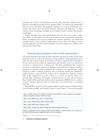typically, this involves multi-strategy research. The researcher adopts both an objective and subjective point of view. Morgan (2007: 71) refers to the relationship between theory and data in the pragmatic approach as a version of 'abductive reasoning' that moves back and forth between induction and deduction. In other words, in terms of ontology, a multiple view is chosen in order to achieve the research question(s).

◈

Finally, remember that your epistemology does not have to be quite so rigid. Your choice in this respect is down to your decision as an independent researcher. When considering your research problem and research questions, you should ask yourself which is your preferred philosophical stance, how this relates to your research approach, and the research strategy required to help you to address your initial research questions.

### **How Business Research Links to the Organization**

Of course, businesses also have to make important decisions in terms of how they approach research, such as decisions governing qualitative and quantitative strategies. Yet, the extent of their involvement in business research often depends on the size and resources within an organization and whether or not it is carried out in-house or outsourced to a third party. We have established that business research is conducted in order to aid business-related decision-making, usually in response to external market conditions. For example, a car manufacturer might decide to conduct research exploring why a particular model has witnessed a sudden decline in sales. However, we have yet to examine how business research links to the organization in terms of how it is carried out and by whom. Frequently, large companies will employ research agencies to carry out research on their behalf, while small and medium sized enterprises (SMEs) tend to conduct research in-house. Research may be conducted on an *ad hoc* basis or at regular intervals.

Ipsos MORI is one of the UK's leading market research agencies. Clients include Toyota, Nokia, the BBC and Norfolk County Council. Figure 1.3 shows the possible

Step 1: Norfolk County Council (NCC) commission Ipsos MORI to conduct research into people's views on education provision within the county

Step 2: Ipsos MORI collect data on behalf of NCC Step 3: Ipsos MORI analyze data on behalf of NCC Step 4: Ipsos MORI report findings to NCC

Step 5: NCC considers the report findings then takes the appropriate action\*

\*If NCC is unsatisfied with the service provided by Ipsos MORI, or certain aspects of the findings do not meet with their approval, additional research may be required.

**FIGURE 1.3** Possible steps taken by a market research agency

**20 ESSENTIALS OF BUSINESS RESEARCH**

♠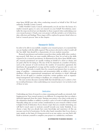steps Ipsos MORI may take when conducting research on behalf of the UK local authority, Norfolk County Council.

◈

Unlike Norfolk County Council, unfortunately you do not have the luxury of a market research agency to carry out research on your behalf! Nevertheless, essentially the steps involved are not dissimilar to those required when undertaking your own research project. Clearly, your own project will also include a set of objectives, data collection and findings. These stages will be explored in greater detail when we look at 'research process' later in this chapter.

# **Research Skills**

In order to be able to successfully complete your research project, it is essential that you are familiar with the skills required. This section is devoted to what I would call the 'key skills' that should be a characteristic of every student researcher.

Research practitioners and student researchers share similar skills when conducting research. Still, there are some notable differences. First, let us look at the skills required to be a research practitioner. As illustrated in the above Ipsos MORI example, research practitioners are usually working on behalf of a client or clients, and are paid a flat fee for doing so. The size of the fee depends on a number of factors, such as the amount of work involved, the number of researchers appointed, the timeframe, the geographical coverage and the number of agencies able to carry out the research. Obviously, to justify their fee, research practitioners have to portray a range of qualities – communication and presentation skills, an ability to work to deadlines, effective organizational management and attention to detail. Although these do not all apply to a student researcher, certain qualities, such as organizational management and working to deadlines, are certainly relevant.

The next section discusses essential skills that should help you to achieve a better overall performance when undertaking your research project. Let us look at each of these in turn.

### Dedication

Undertaking any form of research is a time-consuming and usually an extremely challenging process. Your research project is no different. It is important that you adopt a dedicated approach from the outset. Starting your project a few short weeks prior to the submission deadline is unlikely to produce a piece of work of sufficient standard. Naturally, taking into account certain considerations in your research is likely to lead to higher levels of dedication. If you choose a topic that you consider interesting, you will find it much easier to motivate yourself towards your study. Similarly, if you choose a topic that you already have some knowledge and experience of, this can increase your level of motivation. On the other hand, remember that if you choose a topic simply on the basis of it being perceived as an easy option, you may find it difficult to motivate yourself to complete your project to a satisfactory conclusion.

### **AN INTRODUCTION TO BUSINESS RESEARCH 21**

♠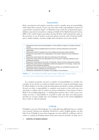### **Responsibility**

◈

Both a practitioner and student researcher need to consider areas of responsibility while doing their research. To give you some idea of the responsibilities required of a practitioner researcher, Figure 1.4 illustrates some of the key professional responsibilities expected of researchers working on behalf of the Market Research Society. MRS is the world's largest association serving all those with professional equity in the provision or use of market, social and opinion research, and in business intelligence, market analysis, customer insight and consultancy (www.mrs.org.uk).

- 1 Researchers shall ensure that participation in their activities is based on voluntary informed consent.
- 2 Researchers shall be straightforward and honest in all their professional and business relationships.
- 3 Researchers shall be transparent as to the subject and purpose of data collection.
- 4 Researchers shall respect the confidentiality of information collected in their professional activities.
- 5 Researchers shall respect the rights and well-being of all individuals.
- 6 Researchers shall ensure that respondents are not harmed or adversely affected by their professional activities.
- Researchers shall balance the needs of individuals, clients and their professional activities.
- 8 Researchers shall exercise independent professional judgement in the design, conduct and reporting of their professional activities.
- Researchers shall ensure that their professional activities are conducted by persons with appropriate training, qualifications and experience.
- 10 Researchers shall protect the reputation and integrity of the profession.

**FIGURE 1.4** The principles of the MRS 'code of conduct': MRS Code of Conduct (2010) Source: https://www.mrs.org.uk/pdf/code\_of\_conduct.pdf Accessed 20 September 2013

As a student researcher you have a number of responsibilities to consider. For example, if you decide to conduct in-depth interviews, research participants must be asked whether or not they wish the information provided to remain confidential. Second, you have a responsibility to complete your project in line with your own university or college code of conduct on project submission. A key feature of this is likely to be avoiding plagiarism, i.e. claiming that someone else's work is your own. Lastly, you have a responsibility to yourself to make sure that your final project provides an accurate insight into your findings. Several of the points highlighted above relate to ethical standards.

### Language

If English is not your first language, it is worth allowing additional time to conduct your research. Having your grammar checked by a native English speaker can also help. Even if English is your native language, you may still lack confidence when it comes to writing up. Reading articles from peer-reviewed journals can help you to

### **22 ESSENTIALS OF BUSINESS RESEARCH**

♠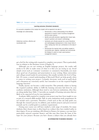#### **TABLE 1.5** Research methods – examples of learning outcomes

| Learning outcomes (threshold standards)<br>On successful completion of this module the student will be expected to be able to: |                                                                                                                                                                                                   |  |  |
|--------------------------------------------------------------------------------------------------------------------------------|---------------------------------------------------------------------------------------------------------------------------------------------------------------------------------------------------|--|--|
|                                                                                                                                |                                                                                                                                                                                                   |  |  |
| Intellectual, practical, affective and<br>transferable skills                                                                  | 3. Synthesize and critically evaluate the current theoretical<br>and methodological developments in their chosen field of<br>study, making clear their own contributions to this body of<br>work. |  |  |
|                                                                                                                                | 4. Demonstrate the required skills and abilities needed to<br>successfully plan, organize, undertake and communicate<br>the findings of a piece of small-scale business/<br>management research.  |  |  |

◈

Source: Anglia Ruskin University (2008)

get a feel for the writing style required to complete your project. This is particularly true in relation to the literature review (Chapter 3).

Although you are not writing an English language project, the reader still needs to be able to make sense of what it is that you are trying to say. Avoid simple errors such as 'costumer' (customer or consumer). Essentially, you must show good use of grammar and punctuation in your writing. Many universities and colleges award marks for presentation; this usually includes the level of English. Of course, a sound understanding of Microsoft Word can help greatly when it comes to writing your project. Certainly, electronic tools such as spell-check and a thesaurus are extremely useful. Just remember to set the required English language function!

Finally, anyone can become a solid researcher. This primarily relates to having the required academic ability to fulfil the learning outcomes laid down by your academic institution. Although these tend to vary between institutions, often they are along similar lines. Table 1.5 provides an example of learning outcomes that are likely to be expected of you by your institution.

Academic skills required to complete your project may have been taught to you as part of a research skills module. Still, in some institutions study programmes do not include such a provision. Therefore, a book such as this can help guide you through the research process. In addition, past student projects and peer-reviewed journals can be a useful guide to academic requirements.

During your course you will have studied a wide range of modules. For many students, their chosen topic is often based on a subject they have studied earlier in their degree. If you are studying a BA (Hons) in Finance, for instance, you may have particularly enjoyed corporate finance, and this may then form the basis of the topic for your project. Because you have chosen a subject that you already have

### **AN INTRODUCTION TO BUSINESS RESEARCH 23**

♠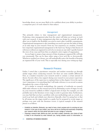knowledge about, you are more likely to be confident about your ability to produce a competent piece of work related to that subject.

◈

### Management

This primarily relates to time management and organizational management*.* Producing a time management plan from the outset will help you to keep on track with your research. A time management plan that you design for yourself will also allow you to build in the flexibility you need to meet other work/life commitments. Organizational management is also something you need to get into the habit of doing at an early stage in your research. From my own experience as a student, I learned how important organizational management is the hard way. Trying to find dozens of references without an organized record is by no means an easy task! I quickly learned the error of my ways and from then on adopted a strict regime of organization.

As you begin to amass a large amount of data, keeping an organized file will help you enormously. This can be done either using a lever arch file or electronically. Whichever method you choose, you will undoubtedly notice the benefits of keeping an organized file of your work. This is especially true during your writing-up stage.

# **Research Process**

Earlier, I noted that a practitioner researcher and student researcher go through similar stages when conducting research. Yet there are some notable differences. First, as a student researcher your research needs to contain a certain amount of theory. Second, often a key support during your research is your project supervisor. The significance of the supervisor is explained later in this chapter. Given the supervisor's importance, it is something that I will make reference to on several occasions throughout the course of this book.

As is similar to research methodology, the majority of textbooks on research skills make reference to the research process by illustrating a series of stages. In reality, your research is unlikely to follow a logical series of steps. For example, you will probably start at the literature review stage in order to generate ideas. Furthermore, you may find that you have a problem with your methodology and, as a result, you need to go back and rethink your objectives. Basically, what I'm saying here is that by all means use the stages model as a guide, but be prepared to revisit stages, or perhaps even start with the literature review. A typical example of the *research process* is as follows:

- Establish an intention. Obviously, you need to have a basic purpose prior to carrying out your research. In the case of your project, your focus will be on starting and eventually completing your research within the time period laid down by your college or university.
- Choosing a research topic. Before you start, you need a subject. Generally, your choice of topic is likely to be influenced by what interests you, having suitable access to information, or
- **24 ESSENTIALS OF BUSINESS RESEARCH**

♠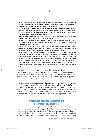perhaps career aspirations. The latter can help become a useful selling tool when attending job interviews following your graduation. The nature of the research topic and how to generate ideas and establish research questions are covered in Chapter 2.

◈

- Conduct a literature review. A literature review is an essential part of academic research. Basically, it is an acknowledgement of what has already been written on your chosen subject. It helps to identify 'gaps' in the existing literature that may assist you in forming the basis of your study as well as helping to avoid repetition.
- Research design. Your research design is a systematic plan of the data collection and analysis phases of your project. This is fully explored in Chapter 5.
- Address ethics. Ethics are the principles and values that underpin the way researchers conduct their research. Although I have briefly highlighted ethics during this introductory chapter, this is discussed in detail in Chapter 4.
- Collect data. The process of gathering your data from often a wide range of sources. These are likely to include both primary and secondary data. We will examine the main data collection methods in Chapters 6 and 7, followed by sampling techniques in Chapter 8.
- Analyze data. The process of analyzing your results to see the extent to which they address your research questions/hypotheses. The tools of analysis depend on whether you have collected quantitative or qualitative data. These are addressed in Chapters 9 and 10 respectively.
- Write up. At some point all that information that you have gathered, probably over several months, needs to be written up. This will fall within the structure of your research project guidelines. Perhaps one of the main questions concerning writing up is when to start. This, along with other issues related to writing up and presentation, is tackled in the final section Chapter 11.

Many students have commented to me that their own research was by no means a linear process. The majority of these tended to consult the literature in order to generate ideas; from this, research ideas were then formulated. Other students place little emphasis on consulting the literature. They know exactly what they want to do and are more likely to follow the typical stages in the research process. It may be that they are mature students and have valuable experience and knowledge about a certain industry, or are perhaps a part-time student who has received support from his or her company to conduct research based on their place of work. Either way, this is really personal choice. The same can be said for the writing-up stage. I have known many students who have started writing as soon as they have sufficient information to be able to do so. Others prefer writing up when all of the relevant stages have been successfully completed. Once again, this is personal choice.

# **Differences Between Academic and Organizational Research**

Academics are often preoccupied with research that helps to build or question theory, and helps develop research approaches. Many universities require academics to publish in leading academic journals. In business and management, these are often journals that practitioners are unlikely to read, such as the *Journal of Marketing* and the *Journal of Consumer Research*. The practical application of these studies is

**AN INTRODUCTION TO BUSINESS RESEARCH 25**

♠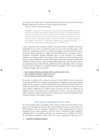not always clear. They may be largely theoretical and focus on the key literature, thereby making them irrelevant to many applied researchers.

◈

When it comes to decision-making:

Qualitative researchers in particular are geared towards providing information that will help clients make a better decision. They, too, build models or theories but perhaps the latter are less formal and often relatively specific to a narrow piece of transient consumer behaviour. Likewise, they have a viewpoint on reality and epistemology but this is less often articulated. Qualitative applied researchers are driven by mainstream commercial reality – a need to attract and retain clients. (Keegan et al., 2008: 108)

I have mentioned that academics build or question theory. Similarly, theoretical application is of course an important aspect to your own research project. One reason for conducting research is to develop and apply concepts and theories. *Basic*  (or *pure*) *research* attempts to expand our knowledge about a particular subject. Academic researchers usually undertake basic or pure research. For example, academic researchers might be interested in how consumers make decisions when buying a range of different products. This might involve analyzing their beliefs and attitudes towards a diverse range of brands. Essentially, basic research tends to be of an exploratory nature. Alternatively, *applied research* is undertaken when a decision must be made in relation to a real-life problem. Examples of the research applied researchers might carry out include:

- how to improve medical care provision within a particular town or city;
- how to combat an increase in violent crime; and
- how to increase the usage of public transport.

Researchers working in the commercial sector are more likely to answer questions to specific problems. For example, an organization considering an electronic payroll system for the company's accounts department may conduct research to find out if employees prefer their existing system or the proposed electronic version. In some cases, studies conducted as a result of basic research may have an influence on applied research. For instance, the example above, 'How to increase the usage of public transport', might be influenced by existing basic research findings into what motivates people to use public transport.

### Work-based or professional practice project

For some students, there is perhaps a 'blur' between what can be described as academic and organizational research. The reason for this is that many universities now offer bespoke courses to companies. Employees in these organizations are often at managerial level, study part-time, and the course is funded by their employer. Although there is an 'academic element', the research project is likely to be based on the student's employer, and/or their role in the organization. This type of so

### **26 ESSENTIALS OF BUSINESS RESEARCH**

♠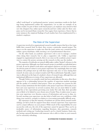called 'work-based' or 'professional practice' project sometimes results in the findings being implemented within the organization. Let us take an example of an online retailer. As part of their work-based project, an employee may intend to find out why shoppers buy online (pure research) and how online sales for their company can be increased (basic research). Once again, from experience, I know that in some instances the empirical findings of such studies have been implemented by a student's employer.

◈

# **The Role of the Supervisor**

A supervisor involved in organizational research usually ensures that his or her team fulfils their research brief. In short, they oversee a particular *research project*. The onus is on the supervisor to make sure that the team carries out a research project within a given timeframe, while meeting a set of predetermined objectives.

On the other hand, an academic supervisor's role is not to manage a student when doing their research, but to play a supportive role. Unlike a supervisor engaged in organizational research, there is no onus on the academic project supervisor to contact the person carrying out the research, in this case the student.

The majority of textbooks on research skills make a rather 'limited' reference to the project supervisor. Although your final research project is probably an individual piece of work, do not be afraid to seek advice and support whenever you feel it is necessary. An obvious point of contact is your project supervisor. Yet, surprisingly, there are some students who perhaps meet up with their supervisor only once or twice during their research. In some cases, no contact is made at all. This is unfortunate. Typically, a supervisor is allocated on the basis of a student's choice of research topic, although there are institutional differences in terms of how supervisors are allocated.

Though I believe no scientific study has been undertaken in this area, often there appears to be a relationship between the number of supervisor–student meetings and the quality of a student's final project. There are perhaps two reasons for this. First, in many institutions the first marker is the project supervisor. Obviously, if you have met your supervisor on several occasions, then you are more likely to understand his or her expectations governing your study. Not only that, their specialist area is likely to be linked to your chosen area of study. Thus, it makes sense to question your supervisor over theories, sources of information and access to data, etc. Second, meeting your supervisor can also help to build your own confidence while doing your research, certainly in relation to overcoming potentially difficult areas.

My experience is that the majority of students are unclear about research methodology yet fail to look for support from their research supervisor. Your supervisor can be a major influence on your project. While much of the responsibility for your success lies with you, the role of the supervisor cannot be ignored. They can be an invaluable source of information regarding literature, idea generation, research methods and writing up. Conducting research can be a lonely business. Quite simply, having a general discussion with someone who is able to relate to your research can be extremely refreshing.

### **AN INTRODUCTION TO BUSINESS RESEARCH 27**

♠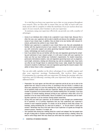It is vital that you keep your supervisor up to date on your progress throughout your research. They are then able to ensure that you are fully on track with your study and are able to complete it within the timeframe. If you are unclear about any aspect of your research, don't hesitate to ask your supervisor.

◈

In summary, using your supervisor effectively can provide you with a number of advantages:

- Access to an individual who is likely to be a specialist in your chosen topic. Because this is often the case, your supervisor will be able to identify and discuss the strengths and weaknesses of your chosen topic. In addition, they are likely to be very familiar with relevant literature, particularly key authors in your chosen field.
- Whether your supervisor is a specialist in your chosen field or not, they will undoubtedly be familiar with the required structure of your research. Your supervisor will be able to provide you with constructive support and advice governing important chapters such as literature review, methodology and results and analysis.
- Even if you believe that you are familiar with the rules and regulations governing the compiling and submission of your research project, it is still wise to liaise with your supervisor to make sure that you have fulfilled your institution's requirements. For student researchers, particularly international students, rules and regulations governing issues such as plagiarism, word length, extensions, binding and referencing may well be completely alien. Easy marks can often be lost through failure to understand these issues. Sadly, despite the importance stressed to students of adhering to rules and regulations governing the research project, their ability to follow these is often a disappointment.

You can only really capitalize on the above advantages if you carefully organize and plan your supervisor meetings. Fundamentally, this involves three stages: (1) preparation for a meeting with your supervisor; (2) during the meeting with your supervisor; and (3) following a meeting with your supervisor. Each of these stages is addressed below:

- Preparation. You must agree a set time with your supervisor and do all you can to stick to the agreed time slot. Failure to arrive on time, or cancelling at the last minute, is unlikely to go down well, especially if it is your first meeting! Also, make sure that you have a predetermined set of questions ready to discuss with your supervisor. Ideally, you should choose a sufficient number of questions to be covered within your allotted meeting time. For example, if you have arranged a 15-minute meeting, obviously arriving at your supervisor's office with a list of 25 questions is far too many! Unfortunately, failure to establish a set of questions prior to meeting their supervisor is all too common among student researchers.
- During. Once you meet your supervisor, do not hesitate to work through your predetermined list of questions. It is of primary importance that you fully understand your supervisor's answers to each respective question. If in doubt, do not be afraid to clarify their answer. For example, saying something like 'So, what you're saying is …' or 'Do you mind if I clarify your answer?' Remember that one of the main roles of your supervisor is to guide you through the research process. Therefore, if in doubt, ask.
- Your essential tools during your meeting should be a pencil and notepad. Very few people have the gift of being able to recollect everything that was discussed during a meeting. Hence the need to write things down! Not only should you write down the answers to your supervisor's

### **28 ESSENTIALS OF BUSINESS RESEARCH**

♠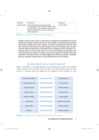| Date/time     | Comments                                                                                                                                                                                                            | Signature     |
|---------------|---------------------------------------------------------------------------------------------------------------------------------------------------------------------------------------------------------------------|---------------|
| 16 Sept. 2008 | Discussed literature review. Key authors<br>recommended - Kotler (1998), Hofstede (1980)<br>and Fang (2001). Some problems with structure $-$<br>begin by defining key constructs, adopting a<br>critical approach. | Dr Ron Taylor |

◈

**FIGURE 1.5** Extract from a student/supervisor meeting log

questions, but also a plan of action. In other words, clear targets to be achieved prior to the next meeting. Finally, agree a date and time of your next meeting. I have found that some students like to keep a meeting log with their supervisor. In the main, this includes date and time, along with a summary of the key issues discussed during the course of the meeting. Lastly, the supervisor then signs the meeting log as confirmation that the meeting took place (see Figure 1.5).

• Following. When you return home, make sure that you read through, and understand, your notes arising from the meeting. The longer you leave them laying in the bottom of your bag, the greater the likelihood that you will forget suggestions made by your supervisor. Preferably, keep your supervisor meeting notes in a well-organized file for future reference.

### How often should I see my research supervisor?

Figure 1.6 illustrates a possible approach to incorporating your supervisor meetings when working on your research project. In short, each stage of the research process involves a meeting with your supervisor. For instance, when deciding on your





**AN INTRODUCTION TO BUSINESS RESEARCH 29**

◈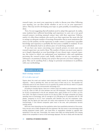research topic, you meet your supervisor in order to discuss your ideas. Following your meeting, you can then decide whether or not to act on your supervisor's advice. This may involve developing your topic or, quite possibly, reconsidering your ideas.

◈

Now, I'm not suggesting that all students need to adopt this approach. In reality, some students have sufficient knowledge and experience to carry out a very good research project, involving minimal contact time with their supervisor. Unfortunately, it is often those students who need to see their supervisor the most who fail to arrange an adequate number of meetings. Remember that in most institutions the onus is on the student, not the supervisor, to make contact. A supervisor's specialist knowledge and experience is probably the best source available to students. To not use it will ultimately lead to an inferior piece of work being submitted.

If you have any issues concerning your research project, in most cases your research supervisor can resolve these. The number of times you meet your supervisor is largely dependent on your knowledge of your chosen topic, research expertise, the extent to which you understand your institution's rules and regulations governing the research project and, finally, whether or not you experience any unforeseen circumstances during your project that prevent you from making progress. This can be anything from a change in personal circumstances to problems with your methodology.

### **RESEARCH IN ACTION**

### Multi-strategy research

### ICT: Is it still a turn on?

Figures about the small and medium sized enterprise (SME) market fly around with alarming regularity – they're spending this, there are that many of them and so on. The Guardian has conducted some of its own research to try to quantify the market and find out where it is placed as regards information and communication technology (ICT).

According to Guardian figures, there are 4 million small and medium sized enterprises (SMEs) in the UK, when an SME can have between two and 199 employees. These companies account for 55.6% of employment in the UK and, between them, spent £9.6bn on ICT in 2003, up 21% from 2002. This figure is forecast to grow to £14.4bn by 2006. The larger companies are clearly spending more on technology, with an average of £21,298 going out of companies with 50–199 people, compared to £4,271 from companies with between two and five employees (note, though, that the figures per head work out vastly more expensive for the smaller companies). Unsurprisingly, IT and internet companies spent most in the area, with professional services coming second.

What was more interesting was the qualitative rather than quantitative elements of the survey. Forty-one per cent of SMEs disagreed with the statement 'We only invest in new technology when existing equipment breaks down', and three-fifths of respondents intended to upgrade their equipment in the next year. Presumably, this means more SMEs are noting benefits from staying ahead of the competition in terms of the technology deployed. This ties in neatly with the idea that

#### **30 ESSENTIALS OF BUSINESS RESEARCH**

♠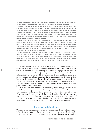the buying decisions are heading out of the hands of the specialist IT staff and, indeed, away from the boardroom – over two-thirds of non-directors are involved in authorizing ICT spend.

◈

Internet awareness is high among the SME community. Even among the smallest companies, comprising between two and five people, 72% have a website, rising to 99% when you look at the top end; an average of 26% of those companies accept orders online and broadband is clearly spreading – an average 67% of companies across the SME spectrum have it. Of the companies with broadband, 59% said it had improved their business performance a lot, 23% said it had made a little difference and the rest said it made no difference at all. Fast upload, download and general internet access were the main benefits.

Of the most interest, however, was the perceptions of suppliers and availability of certain products. Thirty-three per cent of non-broadband companies said they wouldn't get it within the next 12 months because it wasn't available, but they took no account of cable modems or fixed wireless alternatives. Twenty-seven per cent thought most ICT suppliers were not interested in servicing their needs, and 31% felt the ICT suppliers didn't appreciate their needs – these are minorities of course, but substantial minorities.

Finally, wireless technology, although much written about, continues to be a minority pursuit. Although there were variants according to company size, only 32% of companies in the SME sector were using any form of wireless technology. Sixteen per cent were using Bluetooth, 21% had Bluetooth of some description and only 8% were mobile through GSM/3G. Forty-nine per cent of those with the technology felt it was delivering benefits. (Clapperton, 2004)

As illustrated in the above article, by undertaking multi-strategy research the researchers were not only able to determine the amount SMEs spent on ICT (quantitative), but also when SMEs are likely to purchase ICT equipment and their perceptions of suppliers (qualitative). Clearly, understanding the relationship between SMEs and ICT is a complex subject. The premise of using multi-strategy research in this case provides a better understanding of this relationship. If the researchers had undertaken mono-method research, such as a purely quantitative-based study, they would have missed the interesting set of qualitative findings generated from the investigation. Moreover, combining both methods generates more of a 'complete picture' of the phenomenon.

Often, students have ambitions of conducting multi-strategy research. If you think that your own project may involve using multi-strategy research, bear in mind that it remains a challenge for three reasons. First, you may find it difficult to complete your research on time. Second, there is likely to be a financial cost incurred. Finally, not all researchers have the necessary skills required to carry out research of this type. In spite of the potential drawbacks, it is worth considering the merits associated with multi-strategy research in the early stages of your research.

### **Summary and Conclusion**

This chapter has introduced the concept of research, in particular business research. It has drawn attention to the key concepts of research – research philosophy, research approach and research strategy. The link between business research and the

**AN INTRODUCTION TO BUSINESS RESEARCH 31**

♠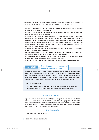organization has been discussed, along with the necessary research skills required to be an effective researcher. Here are the key points from this chapter:

◈

- The research questions are the main focus of any project, and can probably best be described as 'the glue that holds the project together'.
- Research can be defined as a 'step-by-step process that involves the collecting, recording, analyzing and interpreting of information'.
- x Methodology is concerned with the overall approach to the research process. This includes everything from your theoretical application to the collection and analysis of your data. On the other hand, methods refer to the different ways in which data can be collected and analyzed.
- The Honeycomb of Research Methodology illustrates the six main elements that make up research methodology, presents the key concepts of research, and provides a framework for structuring your methodology chapter.
- An understanding of epistemology is important because it is fundamental to the way you approach and interpret your research.
- x Research epistemologies include: positivism, interpretivism and pragmatism. The latter is typically associated with mixed methods or multi-strategy research.
- Consider whether a multi-strategy approach might be preferable to a mono-method design and think about the implications of doing multi-strategy research.
- Make sure that you make full use of the support and advice of your research supervisor.

### **CASE STUDY**

**The Relevance and Importance of Research Methods Classes**

David Parker, a final year BA (Hons) student in Business and Management, was now three weeks into his research methods module. The first part of the module had examined research philosophy and introduced the undergraduate research project. Although David had enjoyed earlier modules covering all areas of business, he was finding it difficult to see how studying research methods would benefit his aspirations of becoming an Advertising Director.

#### **Case study questions**

- 1. How would you convince David of the value attached to studying research methods?
- 2. What are the key skills David requires in order to complete his research project?

### **YOU'RE THE SUPERVISOR**

Angela is currently in the process of starting her undergraduate research project. She has undertaken a short course on research skills as part of her study programme. Angela understands the general concept of multi-strategy research, but is still unclear as to the benefits associated with doing this type of research. She has turned to you, her supervisor, for advice on how she might justify carrying out multi-strategy research.

#### Supervisor question

- How would you respond to Angela?
- **32 ESSENTIALS OF BUSINESS RESEARCH**

♠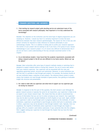### **COMMON QUESTIONS AND ANSWERS**

1. I find starting my research project quite daunting and do not understand many of the terms associated with research philosophy. How important is it to fully understand the terminology?

◈

**Answer:** This depends on the institution and the level/type of degree programme you are studying on. However, I would say that it is certainly important to know the basic differences between the main research epistemologies. The reason for this is that you will almost certainly be required to make reference to research philosophy in your methodology chapter. This is in addition to being able to justify your research approach. The marker of your project will be looking to see if you have a firm grasp of your chosen methodology in your research project. It is of course very difficult to demonstrate this if you do not have a solid understanding of the key concepts examined earlier in this chapter.

2. As an international student, I have found that the academic requirements associated with doing a research project in the UK are very different to my home country. Where can I go for advice?

**Answer:** Most universities offer some type of research methods module or workshop that is designed to support students before or during their research. You can of course seek advice from your research supervisor. Your supervisor will be acquainted with the rules and regulations governing content, structure and submission. Moreover, in some institutions you will find that it is possible to read through past projects. For example, the business faculty at my own institution keeps a selection of past projects. The reference library system in place means that students can read through examples of good practice, thus gaining an invaluable insight into structure and presentation.

### 3. Do I need to meet with my supervisor and what kind of support can my supervisor give me during my research?

**Answer:** In response to the first part of this question, the short answer is yes! Although the generic research process is typically the same for all researchers, your supervisor is likely to be an expert in your chosen research topic. This means that they are able to recommend key sources of information that you can turn to when carrying out your research. Your supervisor may also be able to provide valuable feedback on draft chapters of your work. Again, whether your supervisor is able to read through work in progress depends on the institution. At some institutions, supervisors are permitted to read through an entire draft prior to submission, while in others, supervisors may not be allowed to read through students' work. Typically, from my experience, the majority of institutions allow supervisors to read through one chapter or perhaps 20% of a student's work before submission. If your university falls into this category, then I suggest asking your supervisor to read through the chapter that you have the most concerns with.

#### (Continued)

**AN INTRODUCTION TO BUSINESS RESEARCH 33**

♠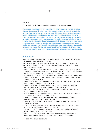#### (Continued)

4. How much time do I have to allocate to each stage in the research process?

◈

**Answer:** There is no easy answer to this question as it usually depends on a number of factors. Not least, the amount of time that you are able to devote towards your research. Obviously, for part-time students and those with demanding responsibilities, the chances are that the research process will take longer. Other issues can also make finishing within the required timeframe challenging. These include: experiencing difficulties with your research methodology, a change in personal circumstances or possibly even your supervisor moving to another institution. In theory, the latter should not be such an issue. As discussed earlier in the chapter, having an effective time management system in place can certainly help ensure that you meet your deadline. Another consideration is that you may find certain stages take longer than expected because of your choice of research methodology. For example, conducting multi-strategy research will ultimately mean that your data collection and analysis will take longer than if you opted for a mono-method design.

### **References**

Anglia Ruskin University (2008) *Research Methods for Managers, Module Guide*. Cambridge: Anglia Ruskin University.

Bryman, A. (2001) *Social Research Methods*. Oxford: Oxford University Press. Bryman, A. and Bell, E. (2007) *Business Research Methods* (2nd edn). Oxford:

- Oxford University Press.
- Carlin, B. (2007) 'Olympic chiefs under fire for "puerile" logo', *The Telegraph*, 4 June 2007, http://www.telegraph.co.uk/news/uknews/1553545/Olympic-chiefsunder-fire-for-puerile-logo.html, accessed 25 July 2012.

Clapperton, G. (2004) 'ICT: Is it still a turn on?' *The Guardian*, 30 September 2004.

Creswell, J.W. (1995) *Research Design: Qualitative and Quantitative Approaches*. Thousand Oaks, CA: Sage.

Creswell, J.W. (1998) *Qualitative Inquiry and Research Design: Choosing among Five Traditions*. Thousand Oaks, CA: Sage.

### Creswell, J.W. (2003) *Research Design: Qualitative, Quantitative and Mixed Methods Approaches* (2nd edn)*.* Thousand Oaks, CA: Sage.

Denzin, N.K. and Lincoln, Y.S. (2000) *Handbook of Qualitative Research* (2nd edn). Thousand Oaks, CA: Sage.

Easterby-Smith, M.P.V., Thorpe, R. and Lowe, A. (2002) *Management Research: An Introduction* (2nd edn). London: Sage.

Ghauri, P. and Grøhaug, K. (2005) *Research Methods in Business Studies: A Practical Guide*. London: FT/Prentice Hall.

- Greene, Jennifer, C. (2007) *Mixed Methods in Social Inquiry*. San Francisco, CA: John Wiley & Sons.
- Guba, E.G. (1990) 'The alternative paradigm dialog', in E.G. Guba (ed.), *The Paradigm Dialog*. Newbury Park, CA: Sage, 17–30.

Hofstede, G. (1980) *Culture's Consequences: International Differences in Workrelated Values*. Beverly Hills, CA: Sage.

Hyde, K.F. (2000) 'Recognising deductive processes in qualitative research', *Qualitative Market Research: An International Journal*, 3 (2): 82–89.

### **34 ESSENTIALS OF BUSINESS RESEARCH**

♠